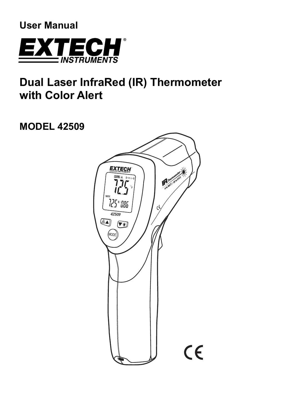**User Manual** 



# **Dual Laser InfraRed (IR) Thermometer with Color Alert**

**MODEL 42509** 

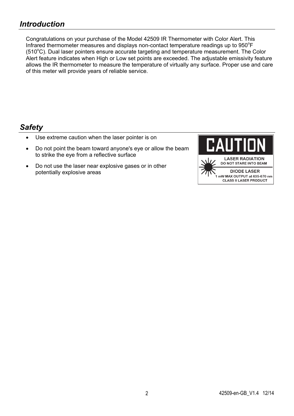## *Introduction*

Congratulations on your purchase of the Model 42509 IR Thermometer with Color Alert. This Infrared thermometer measures and displays non-contact temperature readings up to  $950^{\circ}$ F (510°C). Dual laser pointers ensure accurate targeting and temperature measurement. The Color Alert feature indicates when High or Low set points are exceeded. The adjustable emissivity feature allows the IR thermometer to measure the temperature of virtually any surface. Proper use and care of this meter will provide years of reliable service.

### *Safety*

- Use extreme caution when the laser pointer is on
- Do not point the beam toward anyone's eye or allow the beam to strike the eye from a reflective surface
- Do not use the laser near explosive gases or in other potentially explosive areas

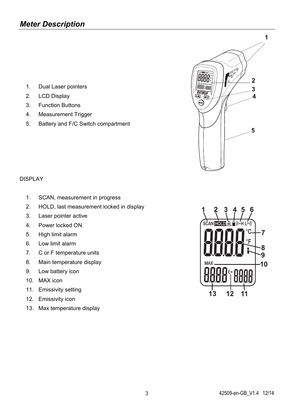- 1. Dual Laser pointers
- 2. LCD Display
- 3. Function Buttons
- 4. Measurement Trigger
- 5. Battery and F/C Switch compartment



### DISPLAY

- 1. SCAN, measurement in progress
- 2. HOLD, last measurement locked in display
- 3. Laser pointer active
- 4. Power locked ON
- 5. High limit alarm
- 6. Low limit alarm
- 7. C or F temperature units
- 8. Main temperature display
- 9. Low battery icon
- 10. MAX icon
- 11. Emissivity setting
- 12. Emissivity icon
- 13. Max temperature display

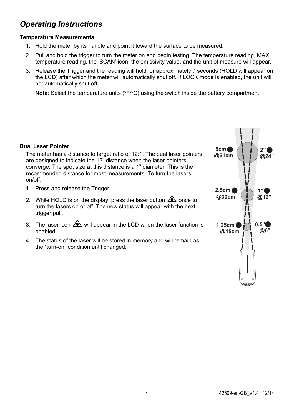# *Operating Instructions*

### **Temperature Measurements**

- 1. Hold the meter by its handle and point it toward the surface to be measured.
- 2. Pull and hold the trigger to turn the meter on and begin testing. The temperature reading, MAX temperature reading, the 'SCAN' icon, the emissivity value, and the unit of measure will appear.
- 3. Release the Trigger and the reading will hold for approximately 7 seconds (HOLD will appear on the LCD) after which the meter will automatically shut off. If LOCK mode is enabled, the unit will not automatically shut off.

**Note**: Select the temperature units ( ${}^{\circ}F/{}^{\circ}C$ ) using the switch inside the battery compartment

#### **Dual Laser Pointer**

The meter has a distance to target ratio of 12:1. The dual laser pointers are designed to indicate the 12" distance when the laser pointers converge. The spot size at this distance is a 1" diameter. This is the recommended distance for most measurements. To turn the lasers on/off:

- 1. Press and release the Trigger
- 2. While HOLD is on the display, press the laser button  $\triangle$  once to turn the lasers on or off. The new status will appear with the next trigger pull.
- 3. The laser icon  $\triangle$  will appear in the LCD when the laser function is enabled.
- 4. The status of the laser will be stored in memory and will remain as the "turn-on" condition until changed.

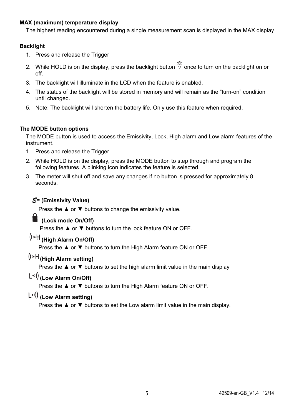### **MAX (maximum) temperature display**

The highest reading encountered during a single measurement scan is displayed in the MAX display

### **Backlight**

- 1. Press and release the Trigger
- 2. While HOLD is on the display, press the backlight button  $\stackrel{\leftrightarrow}{\otimes}$  once to turn on the backlight on or off.
- 3. The backlight will illuminate in the LCD when the feature is enabled.
- 4. The status of the backlight will be stored in memory and will remain as the "turn-on" condition until changed.
- 5. Note: The backlight will shorten the battery life. Only use this feature when required.

### **The MODE button options**

The MODE button is used to access the Emissivity, Lock, High alarm and Low alarm features of the instrument.

- 1. Press and release the Trigger
- 2. While HOLD is on the display, press the MODE button to step through and program the following features. A blinking icon indicates the feature is selected.
- 3. The meter will shut off and save any changes if no button is pressed for approximately 8 seconds.

### *E***= (Emissivity Value)**

Press the ▲ or ▼ buttons to change the emissivity value.

### **(Lock mode On/Off)**

Press the ▲ or ▼ buttons to turn the lock feature ON or OFF.

## **(High Alarm On/Off)**

Press the **▲** or ▼ buttons to turn the High Alarm feature ON or OFF.

# **(High Alarm setting)**

Press the ▲ or ▼ buttons to set the high alarm limit value in the main display

### **(Low Alarm On/Off)**

Press the ▲ or ▼ buttons to turn the High Alarm feature ON or OFF.

# **(Low Alarm setting)**

Press the ▲ or ▼ buttons to set the Low alarm limit value in the main display.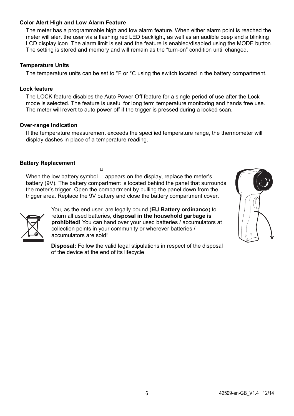#### **Color Alert High and Low Alarm Feature**

The meter has a programmable high and low alarm feature. When either alarm point is reached the meter will alert the user via a flashing red LED backlight, as well as an audible beep and a blinking LCD display icon. The alarm limit is set and the feature is enabled/disabled using the MODE button. The setting is stored and memory and will remain as the "turn-on" condition until changed.

#### **Temperature Units**

The temperature units can be set to °F or °C using the switch located in the battery compartment.

#### **Lock feature**

The LOCK feature disables the Auto Power Off feature for a single period of use after the Lock mode is selected. The feature is useful for long term temperature monitoring and hands free use. The meter will revert to auto power off if the trigger is pressed during a locked scan.

#### **Over-range Indication**

If the temperature measurement exceeds the specified temperature range, the thermometer will display dashes in place of a temperature reading.

#### **Battery Replacement**

When the low battery symbol  $\Box$  appears on the display, replace the meter's battery (9V). The battery compartment is located behind the panel that surrounds the meter's trigger. Open the compartment by pulling the panel down from the trigger area. Replace the 9V battery and close the battery compartment cover.



You, as the end user, are legally bound (**EU Battery ordinance**) to return all used batteries, **disposal in the household garbage is prohibited!** You can hand over your used batteries / accumulators at collection points in your community or wherever batteries / accumulators are sold!

**Disposal:** Follow the valid legal stipulations in respect of the disposal of the device at the end of its lifecycle

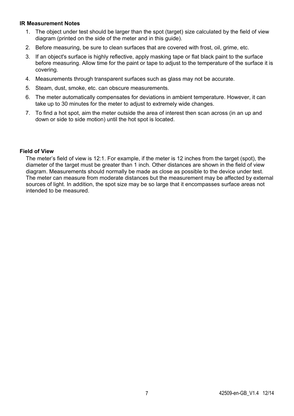#### **IR Measurement Notes**

- 1. The object under test should be larger than the spot (target) size calculated by the field of view diagram (printed on the side of the meter and in this guide).
- 2. Before measuring, be sure to clean surfaces that are covered with frost, oil, grime, etc.
- 3. If an object's surface is highly reflective, apply masking tape or flat black paint to the surface before measuring. Allow time for the paint or tape to adjust to the temperature of the surface it is covering.
- 4. Measurements through transparent surfaces such as glass may not be accurate.
- 5. Steam, dust, smoke, etc. can obscure measurements.
- 6. The meter automatically compensates for deviations in ambient temperature. However, it can take up to 30 minutes for the meter to adjust to extremely wide changes.
- 7. To find a hot spot, aim the meter outside the area of interest then scan across (in an up and down or side to side motion) until the hot spot is located.

#### **Field of View**

The meter's field of view is 12:1. For example, if the meter is 12 inches from the target (spot), the diameter of the target must be greater than 1 inch. Other distances are shown in the field of view diagram. Measurements should normally be made as close as possible to the device under test. The meter can measure from moderate distances but the measurement may be affected by external sources of light. In addition, the spot size may be so large that it encompasses surface areas not intended to be measured.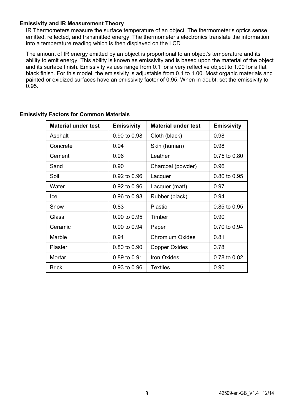#### **Emissivity and IR Measurement Theory**

IR Thermometers measure the surface temperature of an object. The thermometer's optics sense emitted, reflected, and transmitted energy. The thermometer's electronics translate the information into a temperature reading which is then displayed on the LCD.

The amount of IR energy emitted by an object is proportional to an object's temperature and its ability to emit energy. This ability is known as emissivity and is based upon the material of the object and its surface finish. Emissivity values range from 0.1 for a very reflective object to 1.00 for a flat black finish. For this model, the emissivity is adjustable from 0.1 to 1.00. Most organic materials and painted or oxidized surfaces have an emissivity factor of 0.95. When in doubt, set the emissivity to 0.95.

| <b>Material under test</b> | <b>Emissivity</b> | <b>Material under test</b> | <b>Emissivity</b> |
|----------------------------|-------------------|----------------------------|-------------------|
| Asphalt                    | 0.90 to 0.98      | Cloth (black)              | 0.98              |
| Concrete                   | 0.94              | Skin (human)               | 0.98              |
| Cement                     | 0.96              | Leather                    | 0.75 to 0.80      |
| Sand                       | 0.90              | Charcoal (powder)          | 0.96              |
| Soil                       | 0.92 to 0.96      | Lacquer                    | 0.80 to 0.95      |
| Water                      | 0.92 to 0.96      | Lacquer (matt)             | 0.97              |
| lce                        | 0.96 to 0.98      | Rubber (black)             | 0.94              |
| Snow                       | 0.83              | Plastic                    | 0.85 to 0.95      |
| Glass                      | 0.90 to 0.95      | Timber                     | 0.90              |
| Ceramic                    | 0.90 to 0.94      | Paper                      | 0.70 to 0.94      |
| Marble                     | 0.94              | Chromium Oxides            | 0.81              |
| Plaster                    | 0.80 to 0.90      | Copper Oxides              | 0.78              |
| Mortar                     | 0.89 to 0.91      | Iron Oxides                | 0.78 to 0.82      |
| <b>Brick</b>               | 0.93 to 0.96      | <b>Textiles</b>            | 0.90              |

### **Emissivity Factors for Common Materials**